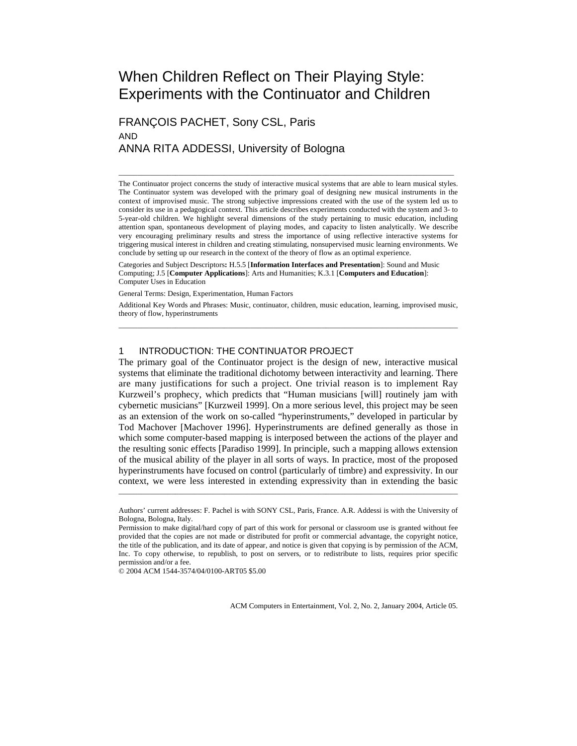# When Children Reflect on Their Playing Style: Experiments with the Continuator and Children

FRANÇOIS PACHET, Sony CSL, Paris AND ANNA RITA ADDESSI, University of Bologna

The Continuator project concerns the study of interactive musical systems that are able to learn musical styles. The Continuator system was developed with the primary goal of designing new musical instruments in the context of improvised music. The strong subjective impressions created with the use of the system led us to consider its use in a pedagogical context. This article describes experiments conducted with the system and 3- to 5-year-old children. We highlight several dimensions of the study pertaining to music education, including attention span, spontaneous development of playing modes, and capacity to listen analytically. We describe very encouraging preliminary results and stress the importance of using reflective interactive systems for triggering musical interest in children and creating stimulating, nonsupervised music learning environments. We conclude by setting up our research in the context of the theory of flow as an optimal experience.

\_\_\_\_\_\_\_\_\_\_\_\_\_\_\_\_\_\_\_\_\_\_\_\_\_\_\_\_\_\_\_\_\_\_\_\_\_\_\_\_\_\_\_\_\_\_\_\_\_\_\_\_\_\_\_\_\_\_\_\_\_\_\_\_\_\_\_\_\_\_\_\_\_\_\_\_\_\_\_\_\_\_\_\_\_\_\_\_\_

Categories and Subject Descriptors**:** H.5.5 [**Information Interfaces and Presentation**]: Sound and Music Computing; J.5 [**Computer Applications**]: Arts and Humanities; K.3.1 [**Computers and Education**]: Computer Uses in Education

General Terms: Design, Experimentation, Human Factors

Additional Key Words and Phrases: Music, continuator, children, music education, learning, improvised music, theory of flow, hyperinstruments \_\_\_\_\_\_\_\_\_\_\_\_\_\_\_\_\_\_\_\_\_\_\_\_\_\_\_\_\_\_\_\_\_\_\_\_\_\_\_\_\_\_\_\_\_\_\_\_\_\_\_\_\_\_\_\_\_\_\_\_\_\_\_\_\_\_\_\_\_\_\_\_\_\_\_\_\_\_\_\_\_\_\_\_\_\_\_\_\_\_

## 1 INTRODUCTION: THE CONTINUATOR PROJECT

The primary goal of the Continuator project is the design of new, interactive musical systems that eliminate the traditional dichotomy between interactivity and learning. There are many justifications for such a project. One trivial reason is to implement Ray Kurzweil's prophecy, which predicts that "Human musicians [will] routinely jam with cybernetic musicians" [Kurzweil 1999]. On a more serious level, this project may be seen as an extension of the work on so-called "hyperinstruments," developed in particular by Tod Machover [Machover 1996]. Hyperinstruments are defined generally as those in which some computer-based mapping is interposed between the actions of the player and the resulting sonic effects [Paradiso 1999]. In principle, such a mapping allows extension of the musical ability of the player in all sorts of ways. In practice, most of the proposed hyperinstruments have focused on control (particularly of timbre) and expressivity. In our context, we were less interested in extending expressivity than in extending the basic

 $\_$  ,  $\_$  ,  $\_$  ,  $\_$  ,  $\_$  ,  $\_$  ,  $\_$  ,  $\_$  ,  $\_$  ,  $\_$  ,  $\_$  ,  $\_$  ,  $\_$  ,  $\_$  ,  $\_$  ,  $\_$  ,  $\_$  ,  $\_$  ,  $\_$  ,  $\_$  ,  $\_$  ,  $\_$  ,  $\_$  ,  $\_$  ,  $\_$  ,  $\_$  ,  $\_$  ,  $\_$  ,  $\_$  ,  $\_$  ,  $\_$  ,  $\_$  ,  $\_$  ,  $\_$  ,  $\_$  ,  $\_$  ,  $\_$  ,

© 2004 ACM 1544-3574/04/0100-ART05 \$5.00

ACM Computers in Entertainment, Vol. 2, No. 2, January 2004, Article 05.

Authors' current addresses: F. Pachel is with SONY CSL, Paris, France. A.R. Addessi is with the University of Bologna, Bologna, Italy.

Permission to make digital/hard copy of part of this work for personal or classroom use is granted without fee provided that the copies are not made or distributed for profit or commercial advantage, the copyright notice, the title of the publication, and its date of appear, and notice is given that copying is by permission of the ACM, Inc. To copy otherwise, to republish, to post on servers, or to redistribute to lists, requires prior specific permission and/or a fee.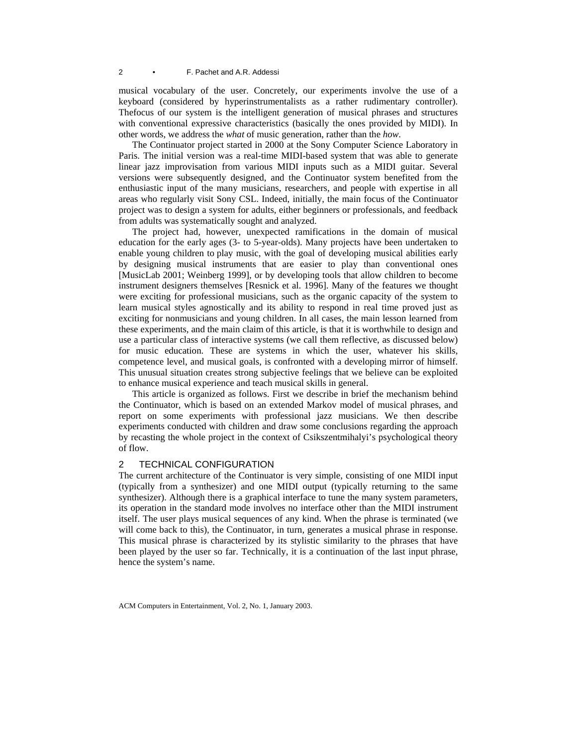musical vocabulary of the user. Concretely, our experiments involve the use of a keyboard (considered by hyperinstrumentalists as a rather rudimentary controller). Thefocus of our system is the intelligent generation of musical phrases and structures with conventional expressive characteristics (basically the ones provided by MIDI). In other words, we address the *what* of music generation, rather than the *how*.

The Continuator project started in 2000 at the Sony Computer Science Laboratory in Paris. The initial version was a real-time MIDI-based system that was able to generate linear jazz improvisation from various MIDI inputs such as a MIDI guitar. Several versions were subsequently designed, and the Continuator system benefited from the enthusiastic input of the many musicians, researchers, and people with expertise in all areas who regularly visit Sony CSL. Indeed, initially, the main focus of the Continuator project was to design a system for adults, either beginners or professionals, and feedback from adults was systematically sought and analyzed.

The project had, however, unexpected ramifications in the domain of musical education for the early ages (3- to 5-year-olds). Many projects have been undertaken to enable young children to play music, with the goal of developing musical abilities early by designing musical instruments that are easier to play than conventional ones [MusicLab 2001; Weinberg 1999], or by developing tools that allow children to become instrument designers themselves [Resnick et al. 1996]. Many of the features we thought were exciting for professional musicians, such as the organic capacity of the system to learn musical styles agnostically and its ability to respond in real time proved just as exciting for nonmusicians and young children. In all cases, the main lesson learned from these experiments, and the main claim of this article, is that it is worthwhile to design and use a particular class of interactive systems (we call them reflective, as discussed below) for music education. These are systems in which the user, whatever his skills, competence level, and musical goals, is confronted with a developing mirror of himself. This unusual situation creates strong subjective feelings that we believe can be exploited to enhance musical experience and teach musical skills in general.

This article is organized as follows. First we describe in brief the mechanism behind the Continuator, which is based on an extended Markov model of musical phrases, and report on some experiments with professional jazz musicians. We then describe experiments conducted with children and draw some conclusions regarding the approach by recasting the whole project in the context of Csikszentmihalyi's psychological theory of flow.

# 2 TECHNICAL CONFIGURATION

The current architecture of the Continuator is very simple, consisting of one MIDI input (typically from a synthesizer) and one MIDI output (typically returning to the same synthesizer). Although there is a graphical interface to tune the many system parameters, its operation in the standard mode involves no interface other than the MIDI instrument itself. The user plays musical sequences of any kind. When the phrase is terminated (we will come back to this), the Continuator, in turn, generates a musical phrase in response. This musical phrase is characterized by its stylistic similarity to the phrases that have been played by the user so far. Technically, it is a continuation of the last input phrase, hence the system's name.

ACM Computers in Entertainment, Vol. 2, No. 1, January 2003.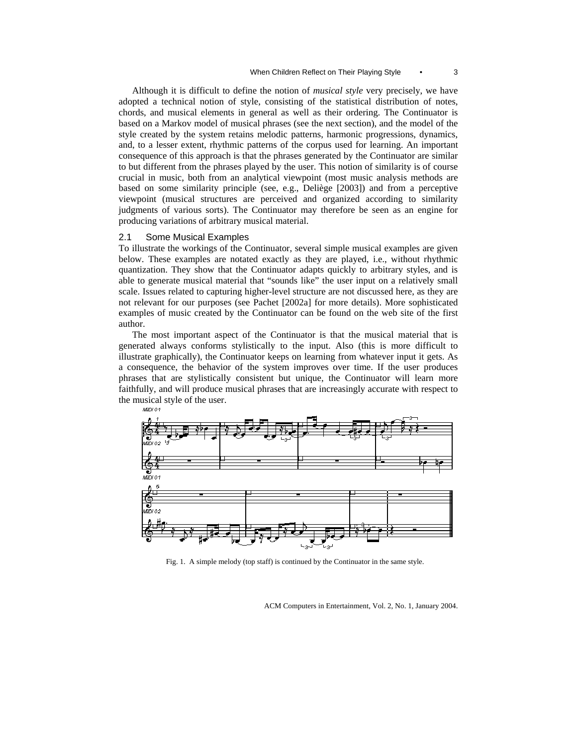Although it is difficult to define the notion of *musical style* very precisely, we have adopted a technical notion of style, consisting of the statistical distribution of notes, chords, and musical elements in general as well as their ordering. The Continuator is based on a Markov model of musical phrases (see the next section), and the model of the style created by the system retains melodic patterns, harmonic progressions, dynamics, and, to a lesser extent, rhythmic patterns of the corpus used for learning. An important consequence of this approach is that the phrases generated by the Continuator are similar to but different from the phrases played by the user. This notion of similarity is of course crucial in music, both from an analytical viewpoint (most music analysis methods are based on some similarity principle (see, e.g., Deliège [2003]) and from a perceptive viewpoint (musical structures are perceived and organized according to similarity judgments of various sorts). The Continuator may therefore be seen as an engine for producing variations of arbitrary musical material.

#### 2.1 Some Musical Examples

To illustrate the workings of the Continuator, several simple musical examples are given below. These examples are notated exactly as they are played, i.e., without rhythmic quantization. They show that the Continuator adapts quickly to arbitrary styles, and is able to generate musical material that "sounds like" the user input on a relatively small scale. Issues related to capturing higher-level structure are not discussed here, as they are not relevant for our purposes (see Pachet [2002a] for more details). More sophisticated examples of music created by the Continuator can be found on the web site of the first author.

The most important aspect of the Continuator is that the musical material that is generated always conforms stylistically to the input. Also (this is more difficult to illustrate graphically), the Continuator keeps on learning from whatever input it gets. As a consequence, the behavior of the system improves over time. If the user produces phrases that are stylistically consistent but unique, the Continuator will learn more faithfully, and will produce musical phrases that are increasingly accurate with respect to the musical style of the user.



Fig. 1. A simple melody (top staff) is continued by the Continuator in the same style.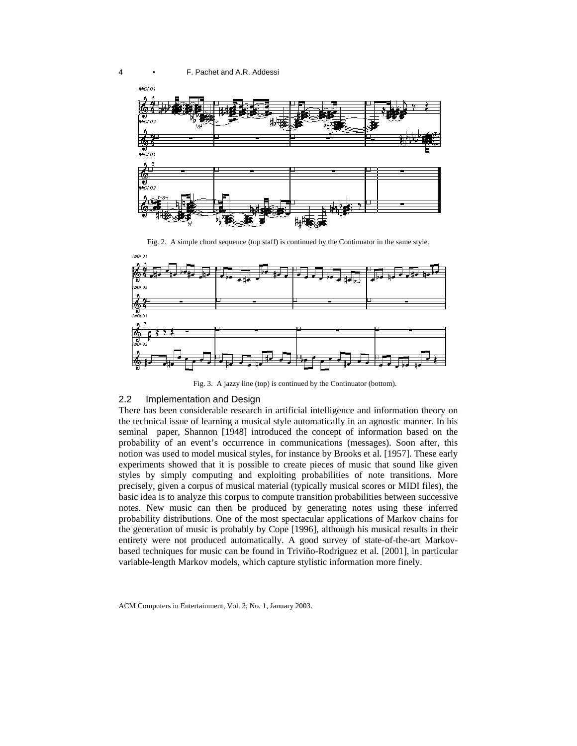

Fig. 2. A simple chord sequence (top staff) is continued by the Continuator in the same style.



Fig. 3. A jazzy line (top) is continued by the Continuator (bottom).

### 2.2 Implementation and Design

There has been considerable research in artificial intelligence and information theory on the technical issue of learning a musical style automatically in an agnostic manner. In his seminal paper, Shannon [1948] introduced the concept of information based on the probability of an event's occurrence in communications (messages). Soon after, this notion was used to model musical styles, for instance by Brooks et al. [1957]. These early experiments showed that it is possible to create pieces of music that sound like given styles by simply computing and exploiting probabilities of note transitions. More precisely, given a corpus of musical material (typically musical scores or MIDI files), the basic idea is to analyze this corpus to compute transition probabilities between successive notes. New music can then be produced by generating notes using these inferred probability distributions. One of the most spectacular applications of Markov chains for the generation of music is probably by Cope [1996], although his musical results in their entirety were not produced automatically. A good survey of state-of-the-art Markovbased techniques for music can be found in Triviño-Rodriguez et al. [2001], in particular variable-length Markov models, which capture stylistic information more finely.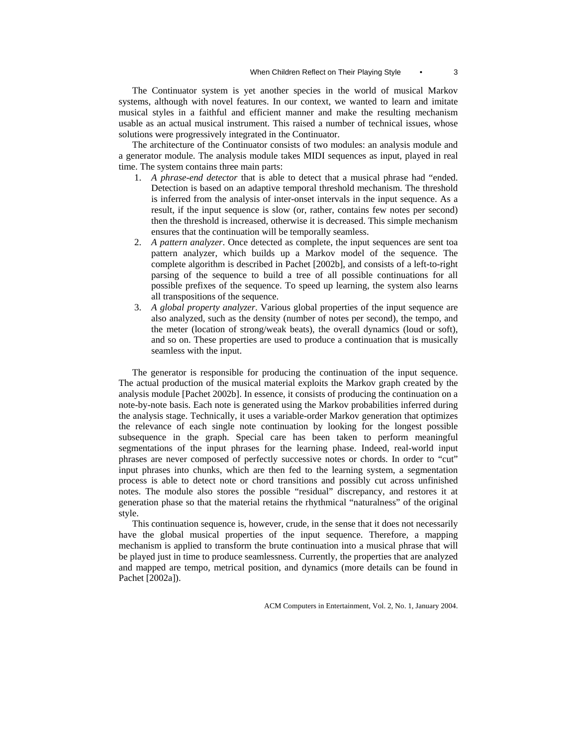The Continuator system is yet another species in the world of musical Markov systems, although with novel features. In our context, we wanted to learn and imitate musical styles in a faithful and efficient manner and make the resulting mechanism usable as an actual musical instrument. This raised a number of technical issues, whose solutions were progressively integrated in the Continuator.

The architecture of the Continuator consists of two modules: an analysis module and a generator module. The analysis module takes MIDI sequences as input, played in real time. The system contains three main parts:

- 1. *A phrase-end detector* that is able to detect that a musical phrase had "ended. Detection is based on an adaptive temporal threshold mechanism. The threshold is inferred from the analysis of inter-onset intervals in the input sequence. As a result, if the input sequence is slow (or, rather, contains few notes per second) then the threshold is increased, otherwise it is decreased. This simple mechanism ensures that the continuation will be temporally seamless.
- 2. *A pattern analyzer*. Once detected as complete, the input sequences are sent toa pattern analyzer, which builds up a Markov model of the sequence. The complete algorithm is described in Pachet [2002b], and consists of a left-to-right parsing of the sequence to build a tree of all possible continuations for all possible prefixes of the sequence. To speed up learning, the system also learns all transpositions of the sequence.
- 3. *A global property analyzer*. Various global properties of the input sequence are also analyzed, such as the density (number of notes per second), the tempo, and the meter (location of strong/weak beats), the overall dynamics (loud or soft), and so on. These properties are used to produce a continuation that is musically seamless with the input.

The generator is responsible for producing the continuation of the input sequence. The actual production of the musical material exploits the Markov graph created by the analysis module [Pachet 2002b]. In essence, it consists of producing the continuation on a note-by-note basis. Each note is generated using the Markov probabilities inferred during the analysis stage. Technically, it uses a variable-order Markov generation that optimizes the relevance of each single note continuation by looking for the longest possible subsequence in the graph. Special care has been taken to perform meaningful segmentations of the input phrases for the learning phase. Indeed, real-world input phrases are never composed of perfectly successive notes or chords. In order to "cut" input phrases into chunks, which are then fed to the learning system, a segmentation process is able to detect note or chord transitions and possibly cut across unfinished notes. The module also stores the possible "residual" discrepancy, and restores it at generation phase so that the material retains the rhythmical "naturalness" of the original style.

This continuation sequence is, however, crude, in the sense that it does not necessarily have the global musical properties of the input sequence. Therefore, a mapping mechanism is applied to transform the brute continuation into a musical phrase that will be played just in time to produce seamlessness. Currently, the properties that are analyzed and mapped are tempo, metrical position, and dynamics (more details can be found in Pachet [2002a]).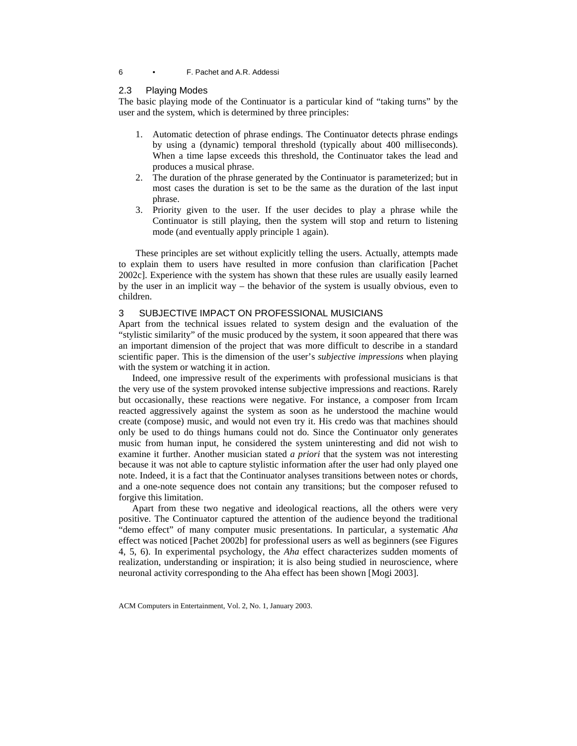## 2.3 Playing Modes

The basic playing mode of the Continuator is a particular kind of "taking turns" by the user and the system, which is determined by three principles:

- 1. Automatic detection of phrase endings. The Continuator detects phrase endings by using a (dynamic) temporal threshold (typically about 400 milliseconds). When a time lapse exceeds this threshold, the Continuator takes the lead and produces a musical phrase.
- 2. The duration of the phrase generated by the Continuator is parameterized; but in most cases the duration is set to be the same as the duration of the last input phrase.
- 3. Priority given to the user. If the user decides to play a phrase while the Continuator is still playing, then the system will stop and return to listening mode (and eventually apply principle 1 again).

These principles are set without explicitly telling the users. Actually, attempts made to explain them to users have resulted in more confusion than clarification [Pachet 2002c]. Experience with the system has shown that these rules are usually easily learned by the user in an implicit way – the behavior of the system is usually obvious, even to children.

# 3 SUBJECTIVE IMPACT ON PROFESSIONAL MUSICIANS

Apart from the technical issues related to system design and the evaluation of the "stylistic similarity" of the music produced by the system, it soon appeared that there was an important dimension of the project that was more difficult to describe in a standard scientific paper. This is the dimension of the user's *subjective impressions* when playing with the system or watching it in action.

Indeed, one impressive result of the experiments with professional musicians is that the very use of the system provoked intense subjective impressions and reactions. Rarely but occasionally, these reactions were negative. For instance, a composer from Ircam reacted aggressively against the system as soon as he understood the machine would create (compose) music, and would not even try it. His credo was that machines should only be used to do things humans could not do. Since the Continuator only generates music from human input, he considered the system uninteresting and did not wish to examine it further. Another musician stated *a priori* that the system was not interesting because it was not able to capture stylistic information after the user had only played one note. Indeed, it is a fact that the Continuator analyses transitions between notes or chords, and a one-note sequence does not contain any transitions; but the composer refused to forgive this limitation.

Apart from these two negative and ideological reactions, all the others were very positive. The Continuator captured the attention of the audience beyond the traditional "demo effect" of many computer music presentations. In particular, a systematic *Aha* effect was noticed [Pachet 2002b] for professional users as well as beginners (see Figures 4, 5, 6). In experimental psychology, the *Aha* effect characterizes sudden moments of realization, understanding or inspiration; it is also being studied in neuroscience, where neuronal activity corresponding to the Aha effect has been shown [Mogi 2003].

ACM Computers in Entertainment, Vol. 2, No. 1, January 2003.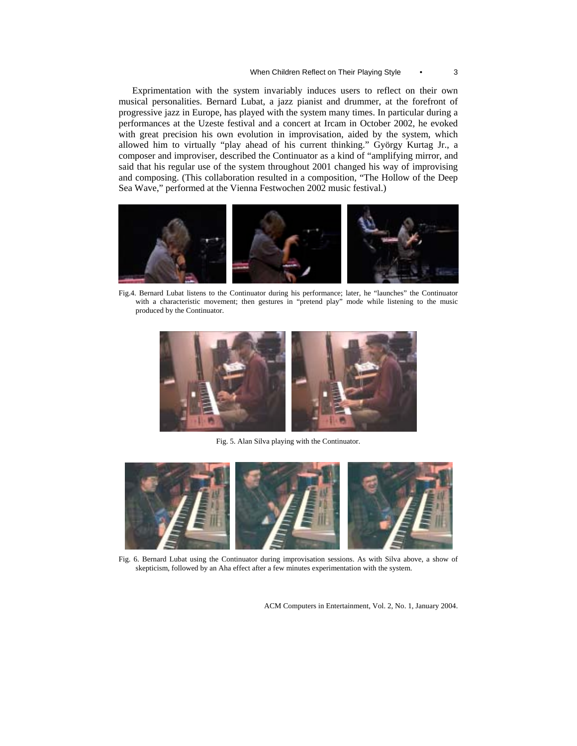Exprimentation with the system invariably induces users to reflect on their own musical personalities. Bernard Lubat, a jazz pianist and drummer, at the forefront of progressive jazz in Europe, has played with the system many times. In particular during a performances at the Uzeste festival and a concert at Ircam in October 2002, he evoked with great precision his own evolution in improvisation, aided by the system, which allowed him to virtually "play ahead of his current thinking." György Kurtag Jr., a composer and improviser, described the Continuator as a kind of "amplifying mirror, and said that his regular use of the system throughout 2001 changed his way of improvising and composing. (This collaboration resulted in a composition, "The Hollow of the Deep Sea Wave," performed at the Vienna Festwochen 2002 music festival.)



Fig.4. Bernard Lubat listens to the Continuator during his performance; later, he "launches" the Continuator with a characteristic movement; then gestures in "pretend play" mode while listening to the music produced by the Continuator.



Fig. 5. Alan Silva playing with the Continuator.



Fig. 6. Bernard Lubat using the Continuator during improvisation sessions. As with Silva above, a show of skepticism, followed by an Aha effect after a few minutes experimentation with the system.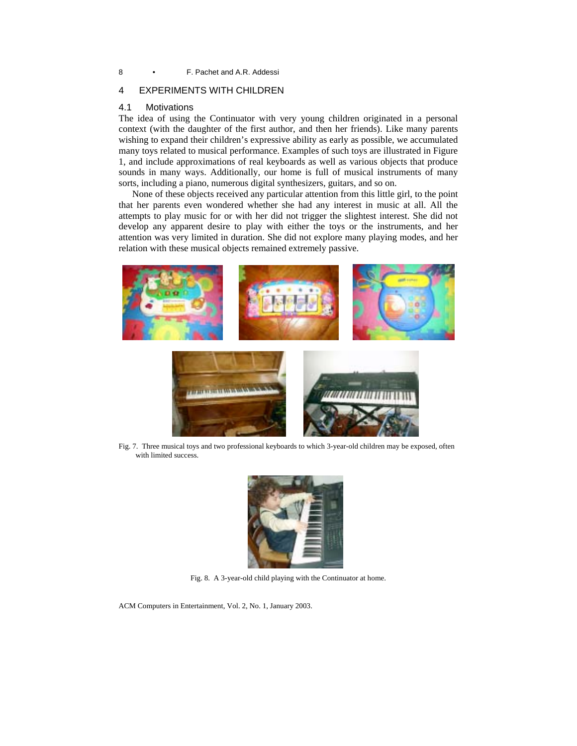# 4 EXPERIMENTS WITH CHILDREN

## 4.1 Motivations

The idea of using the Continuator with very young children originated in a personal context (with the daughter of the first author, and then her friends). Like many parents wishing to expand their children's expressive ability as early as possible, we accumulated many toys related to musical performance. Examples of such toys are illustrated in Figure 1, and include approximations of real keyboards as well as various objects that produce sounds in many ways. Additionally, our home is full of musical instruments of many sorts, including a piano, numerous digital synthesizers, guitars, and so on.

None of these objects received any particular attention from this little girl, to the point that her parents even wondered whether she had any interest in music at all. All the attempts to play music for or with her did not trigger the slightest interest. She did not develop any apparent desire to play with either the toys or the instruments, and her attention was very limited in duration. She did not explore many playing modes, and her relation with these musical objects remained extremely passive.



Fig. 7. Three musical toys and two professional keyboards to which 3-year-old children may be exposed, often with limited success.



Fig. 8. A 3-year-old child playing with the Continuator at home.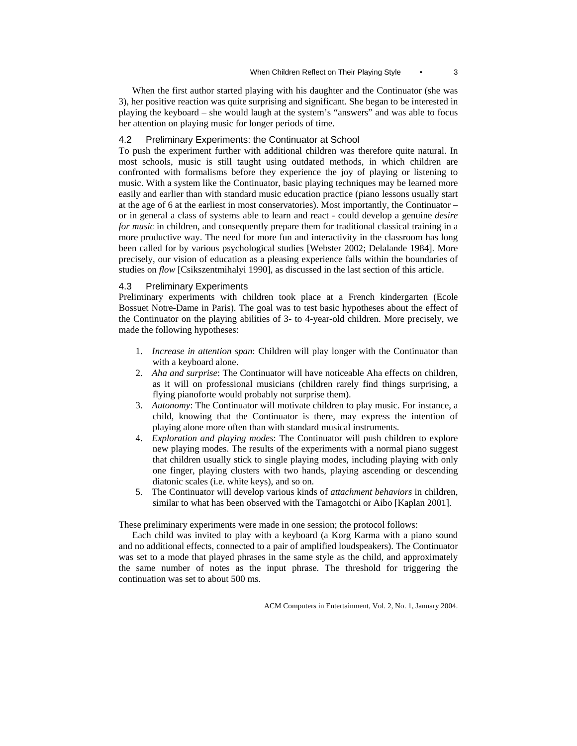When the first author started playing with his daughter and the Continuator (she was 3), her positive reaction was quite surprising and significant. She began to be interested in playing the keyboard – she would laugh at the system's "answers" and was able to focus her attention on playing music for longer periods of time.

# 4.2 Preliminary Experiments: the Continuator at School

To push the experiment further with additional children was therefore quite natural. In most schools, music is still taught using outdated methods, in which children are confronted with formalisms before they experience the joy of playing or listening to music. With a system like the Continuator, basic playing techniques may be learned more easily and earlier than with standard music education practice (piano lessons usually start at the age of 6 at the earliest in most conservatories). Most importantly, the Continuator – or in general a class of systems able to learn and react - could develop a genuine *desire for music* in children, and consequently prepare them for traditional classical training in a more productive way. The need for more fun and interactivity in the classroom has long been called for by various psychological studies [Webster 2002; Delalande 1984]. More precisely, our vision of education as a pleasing experience falls within the boundaries of studies on *flow* [Csikszentmihalyi 1990], as discussed in the last section of this article.

## 4.3 Preliminary Experiments

Preliminary experiments with children took place at a French kindergarten (Ecole Bossuet Notre-Dame in Paris). The goal was to test basic hypotheses about the effect of the Continuator on the playing abilities of 3- to 4-year-old children. More precisely, we made the following hypotheses:

- 1. *Increase in attention span*: Children will play longer with the Continuator than with a keyboard alone.
- 2. *Aha and surprise*: The Continuator will have noticeable Aha effects on children, as it will on professional musicians (children rarely find things surprising, a flying pianoforte would probably not surprise them).
- 3. *Autonomy*: The Continuator will motivate children to play music. For instance, a child, knowing that the Continuator is there, may express the intention of playing alone more often than with standard musical instruments.
- 4. *Exploration and playing modes*: The Continuator will push children to explore new playing modes. The results of the experiments with a normal piano suggest that children usually stick to single playing modes, including playing with only one finger, playing clusters with two hands, playing ascending or descending diatonic scales (i.e. white keys), and so on.
- 5. The Continuator will develop various kinds of *attachment behaviors* in children, similar to what has been observed with the Tamagotchi or Aibo [Kaplan 2001].

These preliminary experiments were made in one session; the protocol follows:

Each child was invited to play with a keyboard (a Korg Karma with a piano sound and no additional effects, connected to a pair of amplified loudspeakers). The Continuator was set to a mode that played phrases in the same style as the child, and approximately the same number of notes as the input phrase. The threshold for triggering the continuation was set to about 500 ms.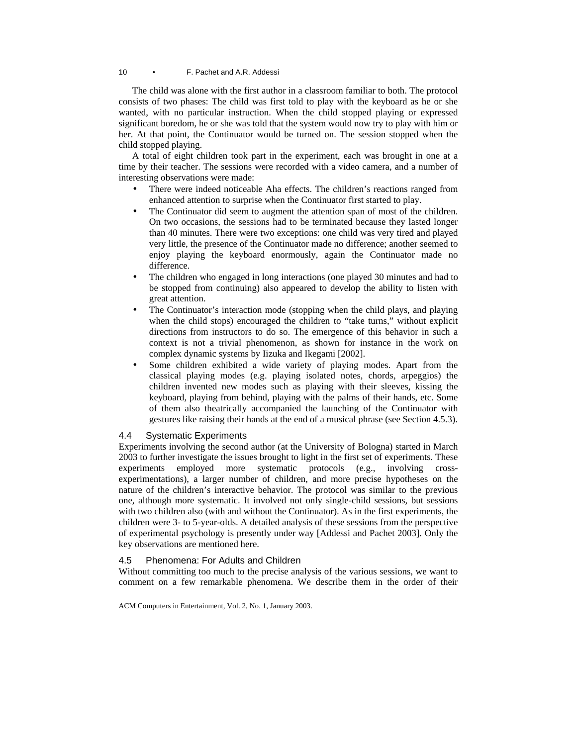The child was alone with the first author in a classroom familiar to both. The protocol consists of two phases: The child was first told to play with the keyboard as he or she wanted, with no particular instruction. When the child stopped playing or expressed significant boredom, he or she was told that the system would now try to play with him or her. At that point, the Continuator would be turned on. The session stopped when the child stopped playing.

A total of eight children took part in the experiment, each was brought in one at a time by their teacher. The sessions were recorded with a video camera, and a number of interesting observations were made:

- There were indeed noticeable Aha effects. The children's reactions ranged from enhanced attention to surprise when the Continuator first started to play.
- The Continuator did seem to augment the attention span of most of the children. On two occasions, the sessions had to be terminated because they lasted longer than 40 minutes. There were two exceptions: one child was very tired and played very little, the presence of the Continuator made no difference; another seemed to enjoy playing the keyboard enormously, again the Continuator made no difference.
- The children who engaged in long interactions (one played 30 minutes and had to be stopped from continuing) also appeared to develop the ability to listen with great attention.
- The Continuator's interaction mode (stopping when the child plays, and playing when the child stops) encouraged the children to "take turns," without explicit directions from instructors to do so. The emergence of this behavior in such a context is not a trivial phenomenon, as shown for instance in the work on complex dynamic systems by Iizuka and Ikegami [2002].
- Some children exhibited a wide variety of playing modes. Apart from the classical playing modes (e.g. playing isolated notes, chords, arpeggios) the children invented new modes such as playing with their sleeves, kissing the keyboard, playing from behind, playing with the palms of their hands, etc. Some of them also theatrically accompanied the launching of the Continuator with gestures like raising their hands at the end of a musical phrase (see Section 4.5.3).

# 4.4 Systematic Experiments

Experiments involving the second author (at the University of Bologna) started in March 2003 to further investigate the issues brought to light in the first set of experiments. These experiments employed more systematic protocols (e.g., involving crossexperimentations), a larger number of children, and more precise hypotheses on the nature of the children's interactive behavior. The protocol was similar to the previous one, although more systematic. It involved not only single-child sessions, but sessions with two children also (with and without the Continuator). As in the first experiments, the children were 3- to 5-year-olds. A detailed analysis of these sessions from the perspective of experimental psychology is presently under way [Addessi and Pachet 2003]. Only the key observations are mentioned here.

#### 4.5 Phenomena: For Adults and Children

Without committing too much to the precise analysis of the various sessions, we want to comment on a few remarkable phenomena. We describe them in the order of their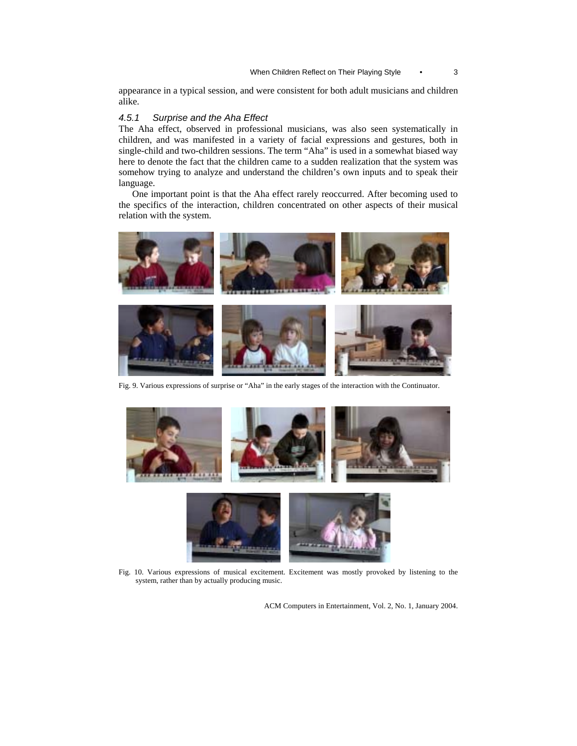appearance in a typical session, and were consistent for both adult musicians and children alike.

## *4.5.1 Surprise and the Aha Effect*

The Aha effect, observed in professional musicians, was also seen systematically in children, and was manifested in a variety of facial expressions and gestures, both in single-child and two-children sessions. The term "Aha" is used in a somewhat biased way here to denote the fact that the children came to a sudden realization that the system was somehow trying to analyze and understand the children's own inputs and to speak their language.

One important point is that the Aha effect rarely reoccurred. After becoming used to the specifics of the interaction, children concentrated on other aspects of their musical relation with the system.



Fig. 9. Various expressions of surprise or "Aha" in the early stages of the interaction with the Continuator.





Fig. 10. Various expressions of musical excitement. Excitement was mostly provoked by listening to the system, rather than by actually producing music.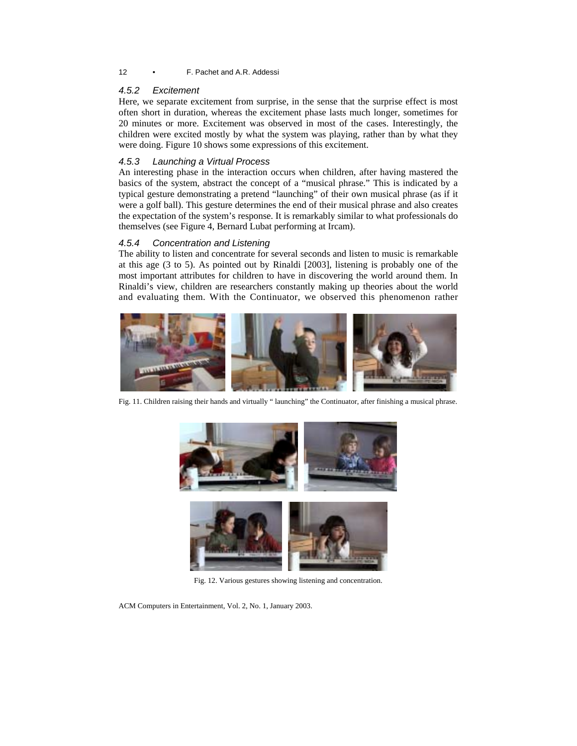# *4.5.2 Excitement*

Here, we separate excitement from surprise, in the sense that the surprise effect is most often short in duration, whereas the excitement phase lasts much longer, sometimes for 20 minutes or more. Excitement was observed in most of the cases. Interestingly, the children were excited mostly by what the system was playing, rather than by what they were doing. Figure 10 shows some expressions of this excitement.

# *4.5.3 Launching a Virtual Process*

An interesting phase in the interaction occurs when children, after having mastered the basics of the system, abstract the concept of a "musical phrase." This is indicated by a typical gesture demonstrating a pretend "launching" of their own musical phrase (as if it were a golf ball). This gesture determines the end of their musical phrase and also creates the expectation of the system's response. It is remarkably similar to what professionals do themselves (see Figure 4, Bernard Lubat performing at Ircam).

# *4.5.4 Concentration and Listening*

The ability to listen and concentrate for several seconds and listen to music is remarkable at this age (3 to 5). As pointed out by Rinaldi [2003], listening is probably one of the most important attributes for children to have in discovering the world around them. In Rinaldi's view, children are researchers constantly making up theories about the world and evaluating them. With the Continuator, we observed this phenomenon rather



Fig. 11. Children raising their hands and virtually " launching" the Continuator, after finishing a musical phrase.



Fig. 12. Various gestures showing listening and concentration.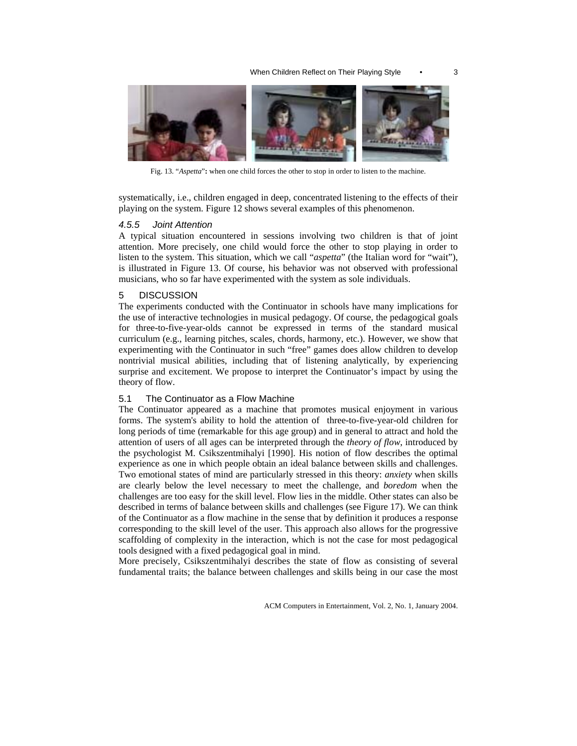

Fig. 13. "*Aspetta*"**:** when one child forces the other to stop in order to listen to the machine.

systematically, i.e., children engaged in deep, concentrated listening to the effects of their playing on the system. Figure 12 shows several examples of this phenomenon.

## *4.5.5 Joint Attention*

A typical situation encountered in sessions involving two children is that of joint attention. More precisely, one child would force the other to stop playing in order to listen to the system. This situation, which we call "*aspetta*" (the Italian word for "wait"), is illustrated in Figure 13. Of course, his behavior was not observed with professional musicians, who so far have experimented with the system as sole individuals.

# 5 DISCUSSION

The experiments conducted with the Continuator in schools have many implications for the use of interactive technologies in musical pedagogy. Of course, the pedagogical goals for three-to-five-year-olds cannot be expressed in terms of the standard musical curriculum (e.g., learning pitches, scales, chords, harmony, etc.). However, we show that experimenting with the Continuator in such "free" games does allow children to develop nontrivial musical abilities, including that of listening analytically, by experiencing surprise and excitement. We propose to interpret the Continuator's impact by using the theory of flow.

# 5.1 The Continuator as a Flow Machine

The Continuator appeared as a machine that promotes musical enjoyment in various forms. The system's ability to hold the attention of three-to-five-year-old children for long periods of time (remarkable for this age group) and in general to attract and hold the attention of users of all ages can be interpreted through the *theory of flow*, introduced by the psychologist M. Csikszentmihalyi [1990]. His notion of flow describes the optimal experience as one in which people obtain an ideal balance between skills and challenges. Two emotional states of mind are particularly stressed in this theory: *anxiety* when skills are clearly below the level necessary to meet the challenge, and *boredom* when the challenges are too easy for the skill level. Flow lies in the middle. Other states can also be described in terms of balance between skills and challenges (see Figure 17). We can think of the Continuator as a flow machine in the sense that by definition it produces a response corresponding to the skill level of the user. This approach also allows for the progressive scaffolding of complexity in the interaction, which is not the case for most pedagogical tools designed with a fixed pedagogical goal in mind.

More precisely, Csikszentmihalyi describes the state of flow as consisting of several fundamental traits; the balance between challenges and skills being in our case the most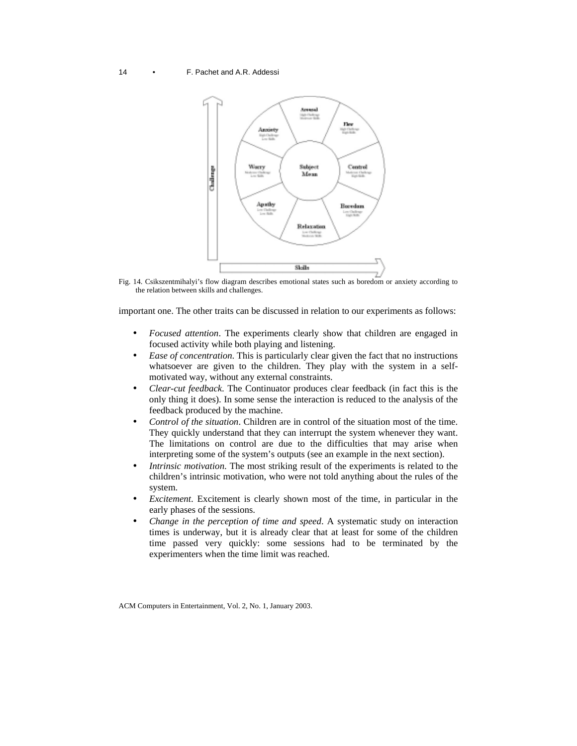

Fig. 14. Csikszentmihalyi's flow diagram describes emotional states such as boredom or anxiety according to the relation between skills and challenges.

important one. The other traits can be discussed in relation to our experiments as follows:

- *Focused attention*. The experiments clearly show that children are engaged in focused activity while both playing and listening.
- *Ease of concentration*. This is particularly clear given the fact that no instructions whatsoever are given to the children. They play with the system in a selfmotivated way, without any external constraints.
- *Clear-cut feedback*. The Continuator produces clear feedback (in fact this is the only thing it does). In some sense the interaction is reduced to the analysis of the feedback produced by the machine.
- *Control of the situation*. Children are in control of the situation most of the time. They quickly understand that they can interrupt the system whenever they want. The limitations on control are due to the difficulties that may arise when interpreting some of the system's outputs (see an example in the next section).
- *Intrinsic motivation*. The most striking result of the experiments is related to the children's intrinsic motivation, who were not told anything about the rules of the system.
- *Excitement*. Excitement is clearly shown most of the time, in particular in the early phases of the sessions.
- *Change in the perception of time and speed*. A systematic study on interaction times is underway, but it is already clear that at least for some of the children time passed very quickly: some sessions had to be terminated by the experimenters when the time limit was reached.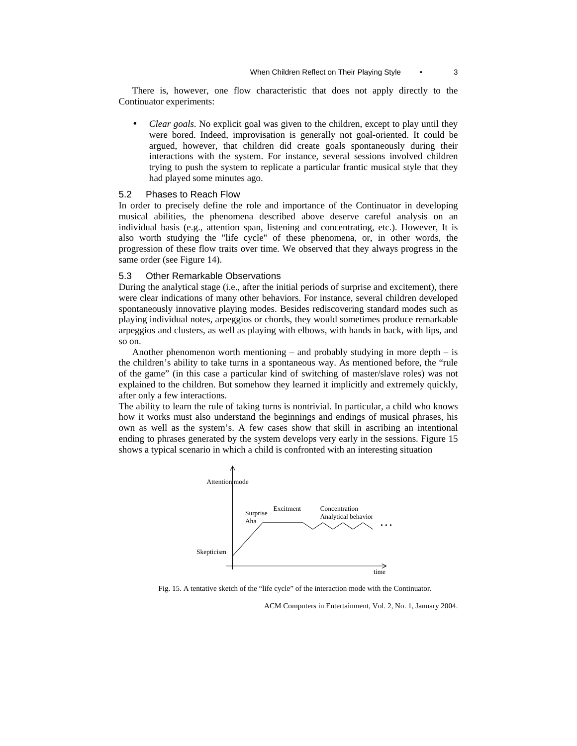There is, however, one flow characteristic that does not apply directly to the Continuator experiments:

• *Clear goals*. No explicit goal was given to the children, except to play until they were bored. Indeed, improvisation is generally not goal-oriented. It could be argued, however, that children did create goals spontaneously during their interactions with the system. For instance, several sessions involved children trying to push the system to replicate a particular frantic musical style that they had played some minutes ago.

## 5.2 Phases to Reach Flow

In order to precisely define the role and importance of the Continuator in developing musical abilities, the phenomena described above deserve careful analysis on an individual basis (e.g., attention span, listening and concentrating, etc.). However, It is also worth studying the "life cycle" of these phenomena, or, in other words, the progression of these flow traits over time. We observed that they always progress in the same order (see Figure 14).

### 5.3 Other Remarkable Observations

During the analytical stage (i.e., after the initial periods of surprise and excitement), there were clear indications of many other behaviors. For instance, several children developed spontaneously innovative playing modes. Besides rediscovering standard modes such as playing individual notes, arpeggios or chords, they would sometimes produce remarkable arpeggios and clusters, as well as playing with elbows, with hands in back, with lips, and so on.

Another phenomenon worth mentioning – and probably studying in more depth – is the children's ability to take turns in a spontaneous way. As mentioned before, the "rule of the game" (in this case a particular kind of switching of master/slave roles) was not explained to the children. But somehow they learned it implicitly and extremely quickly, after only a few interactions.

The ability to learn the rule of taking turns is nontrivial. In particular, a child who knows how it works must also understand the beginnings and endings of musical phrases, his own as well as the system's. A few cases show that skill in ascribing an intentional ending to phrases generated by the system develops very early in the sessions. Figure 15 shows a typical scenario in which a child is confronted with an interesting situation



Fig. 15. A tentative sketch of the "life cycle" of the interaction mode with the Continuator.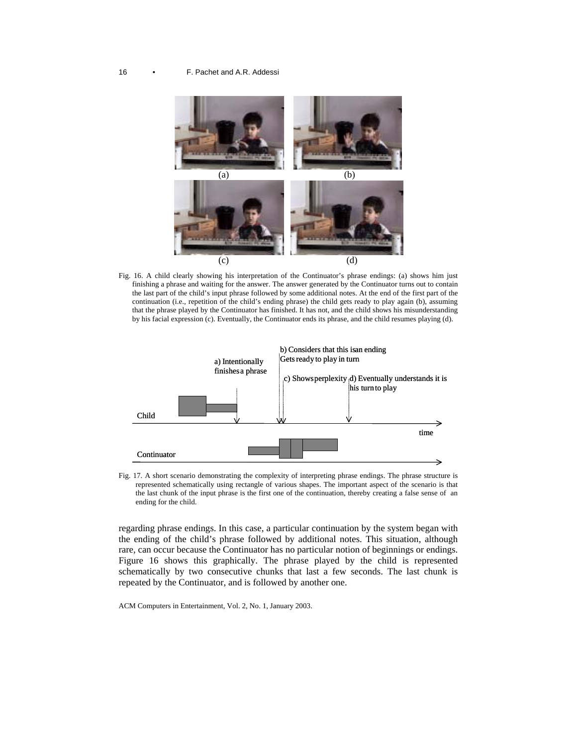

Fig. 16. A child clearly showing his interpretation of the Continuator's phrase endings: (a) shows him just finishing a phrase and waiting for the answer. The answer generated by the Continuator turns out to contain the last part of the child's input phrase followed by some additional notes. At the end of the first part of the continuation (i.e., repetition of the child's ending phrase) the child gets ready to play again (b), assuming that the phrase played by the Continuator has finished. It has not, and the child shows his misunderstanding by his facial expression (c). Eventually, the Continuator ends its phrase, and the child resumes playing (d).



Fig. 17. A short scenario demonstrating the complexity of interpreting phrase endings. The phrase structure is represented schematically using rectangle of various shapes. The important aspect of the scenario is that the last chunk of the input phrase is the first one of the continuation, thereby creating a false sense of an ending for the child.

regarding phrase endings. In this case, a particular continuation by the system began with the ending of the child's phrase followed by additional notes. This situation, although rare, can occur because the Continuator has no particular notion of beginnings or endings. Figure 16 shows this graphically. The phrase played by the child is represented schematically by two consecutive chunks that last a few seconds. The last chunk is repeated by the Continuator, and is followed by another one.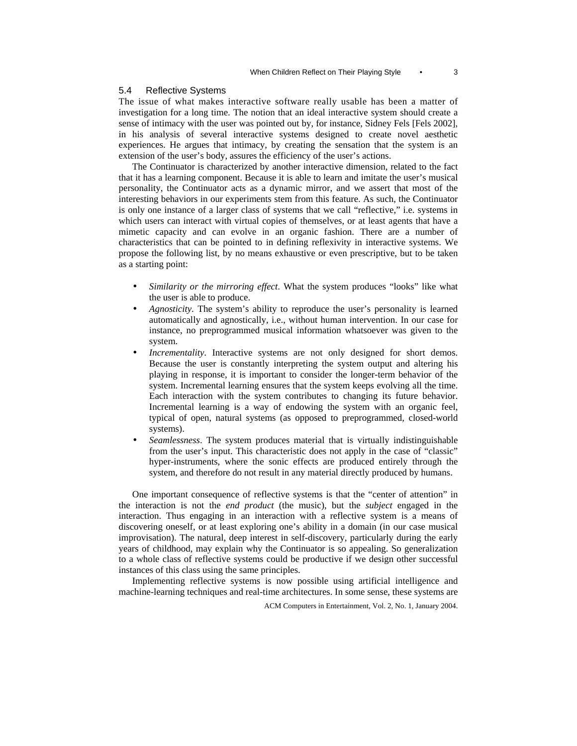# 5.4 Reflective Systems

The issue of what makes interactive software really usable has been a matter of investigation for a long time. The notion that an ideal interactive system should create a sense of intimacy with the user was pointed out by, for instance, Sidney Fels [Fels 2002], in his analysis of several interactive systems designed to create novel aesthetic experiences. He argues that intimacy, by creating the sensation that the system is an extension of the user's body, assures the efficiency of the user's actions.

The Continuator is characterized by another interactive dimension, related to the fact that it has a learning component. Because it is able to learn and imitate the user's musical personality, the Continuator acts as a dynamic mirror, and we assert that most of the interesting behaviors in our experiments stem from this feature. As such, the Continuator is only one instance of a larger class of systems that we call "reflective," i.e. systems in which users can interact with virtual copies of themselves, or at least agents that have a mimetic capacity and can evolve in an organic fashion. There are a number of characteristics that can be pointed to in defining reflexivity in interactive systems. We propose the following list, by no means exhaustive or even prescriptive, but to be taken as a starting point:

- *Similarity or the mirroring effect*. What the system produces "looks" like what the user is able to produce.
- *Agnosticity*. The system's ability to reproduce the user's personality is learned automatically and agnostically, i.e., without human intervention. In our case for instance, no preprogrammed musical information whatsoever was given to the system.
- *Incrementality*. Interactive systems are not only designed for short demos. Because the user is constantly interpreting the system output and altering his playing in response, it is important to consider the longer-term behavior of the system. Incremental learning ensures that the system keeps evolving all the time. Each interaction with the system contributes to changing its future behavior. Incremental learning is a way of endowing the system with an organic feel, typical of open, natural systems (as opposed to preprogrammed, closed-world systems).
- *Seamlessness*. The system produces material that is virtually indistinguishable from the user's input. This characteristic does not apply in the case of "classic" hyper-instruments, where the sonic effects are produced entirely through the system, and therefore do not result in any material directly produced by humans.

One important consequence of reflective systems is that the "center of attention" in the interaction is not the *end product* (the music), but the *subject* engaged in the interaction. Thus engaging in an interaction with a reflective system is a means of discovering oneself, or at least exploring one's ability in a domain (in our case musical improvisation). The natural, deep interest in self-discovery, particularly during the early years of childhood, may explain why the Continuator is so appealing. So generalization to a whole class of reflective systems could be productive if we design other successful instances of this class using the same principles.

Implementing reflective systems is now possible using artificial intelligence and machine-learning techniques and real-time architectures. In some sense, these systems are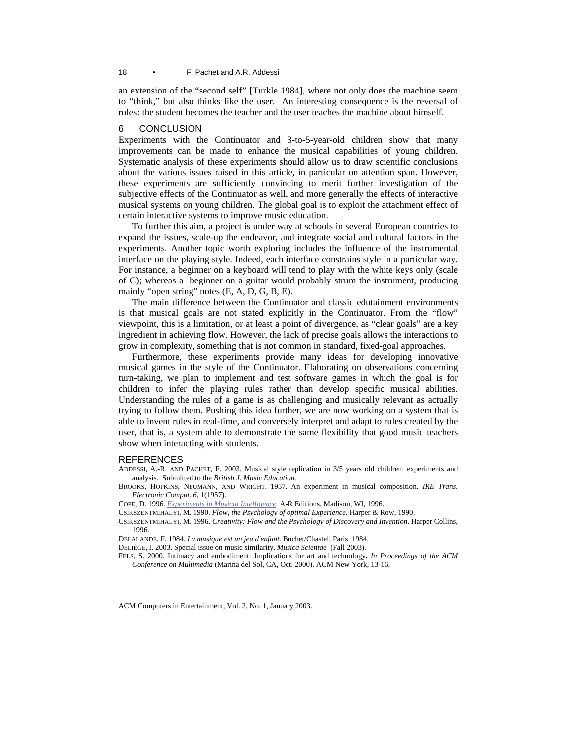an extension of the "second self" [Turkle 1984], where not only does the machine seem to "think," but also thinks like the user. An interesting consequence is the reversal of roles: the student becomes the teacher and the user teaches the machine about himself.

#### 6 CONCLUSION

Experiments with the Continuator and 3-to-5-year-old children show that many improvements can be made to enhance the musical capabilities of young children. Systematic analysis of these experiments should allow us to draw scientific conclusions about the various issues raised in this article, in particular on attention span. However, these experiments are sufficiently convincing to merit further investigation of the subjective effects of the Continuator as well, and more generally the effects of interactive musical systems on young children. The global goal is to exploit the attachment effect of certain interactive systems to improve music education.

To further this aim, a project is under way at schools in several European countries to expand the issues, scale-up the endeavor, and integrate social and cultural factors in the experiments. Another topic worth exploring includes the influence of the instrumental interface on the playing style. Indeed, each interface constrains style in a particular way. For instance, a beginner on a keyboard will tend to play with the white keys only (scale of C); whereas a beginner on a guitar would probably strum the instrument, producing mainly "open string" notes (E, A, D, G, B, E).

The main difference between the Continuator and classic edutainment environments is that musical goals are not stated explicitly in the Continuator. From the "flow" viewpoint, this is a limitation, or at least a point of divergence, as "clear goals" are a key ingredient in achieving flow. However, the lack of precise goals allows the interactions to grow in complexity, something that is not common in standard, fixed-goal approaches.

Furthermore, these experiments provide many ideas for developing innovative musical games in the style of the Continuator. Elaborating on observations concerning turn-taking, we plan to implement and test software games in which the goal is for children to infer the playing rules rather than develop specific musical abilities. Understanding the rules of a game is as challenging and musically relevant as actually trying to follow them. Pushing this idea further, we are now working on a system that is able to invent rules in real-time, and conversely interpret and adapt to rules created by the user, that is, a system able to demonstrate the same flexibility that good music teachers show when interacting with students.

## **REFERENCES**

ADDESSI, A.-R. AND PACHET, F. 2003. Musical style replication in 3/5 years old children: experiments and analysis. Submitted to the *British J. Music Education.*

BROOKS, HOPKINS, NEUMANN, AND WRIGHT. 1957. An experiment in musical composition. *IRE Trans. Electronic Comput. 6*, 1(1957).

COPE, D. 1996. *Experiments in Musical Intelligence.* A-R Editions, Madison, WI, 1996.

CSIKSZENTMIHALYI, M. 1990. *Flow, the Psychology of optimal Experience.* Harper & Row, 1990.

CSIKSZENTMIHALYI, M. 1996. *Creativity: Flow and the Psychology of Discovery and Invention*. Harper Collins, 1996.

DELALANDE, F. 1984. *La musique est un jeu d'enfant.* Buchet/Chastel, Paris. 1984.

DELIÈGE, I. 2003. Special issue on music similarity. *Musica Scientae* (Fall 2003).

FELS, S. 2000. Intimacy and embodiment: Implications for art and technology*. In Proceedings of the ACM Conference on Multimedia* (Marina del Sol, CA, Oct. 2000). ACM New York, 13-16.